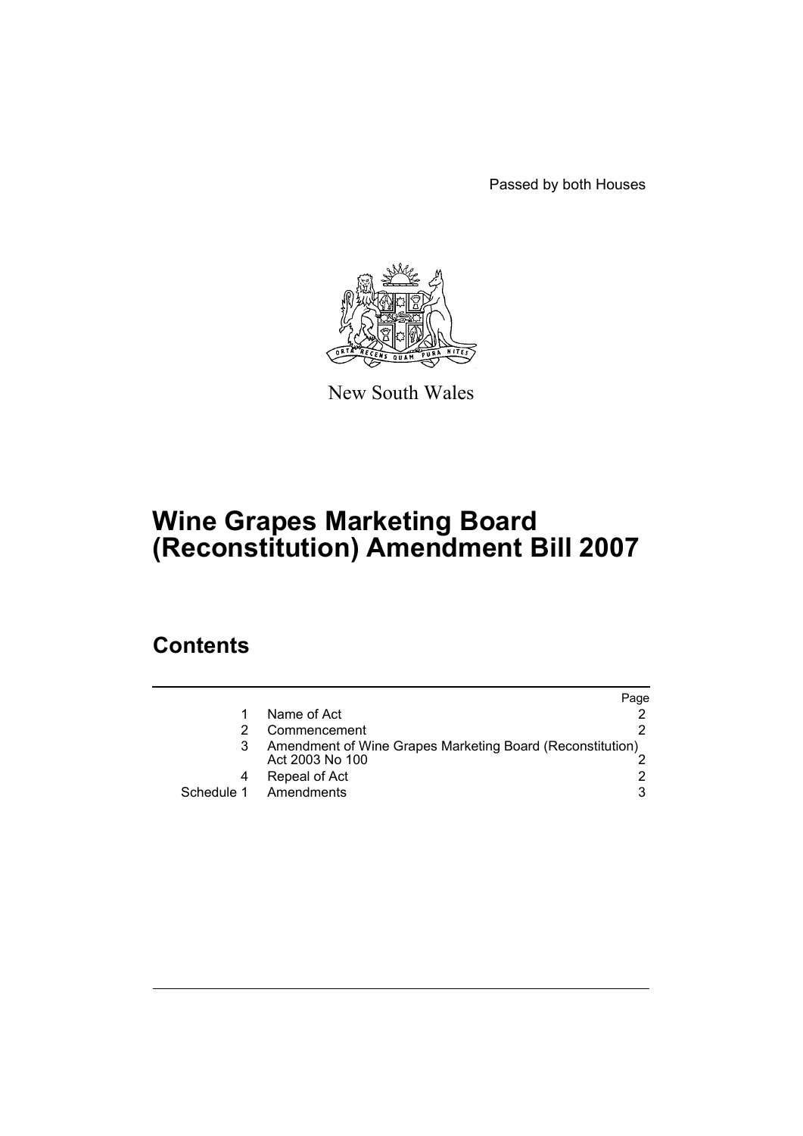Passed by both Houses



New South Wales

# **Wine Grapes Marketing Board (Reconstitution) Amendment Bill 2007**

## **Contents**

|            |                                                                              | Page |
|------------|------------------------------------------------------------------------------|------|
|            | Name of Act                                                                  |      |
|            | Commencement                                                                 |      |
|            | Amendment of Wine Grapes Marketing Board (Reconstitution)<br>Act 2003 No 100 |      |
|            | Repeal of Act                                                                |      |
| Schedule 1 | Amendments                                                                   | 3    |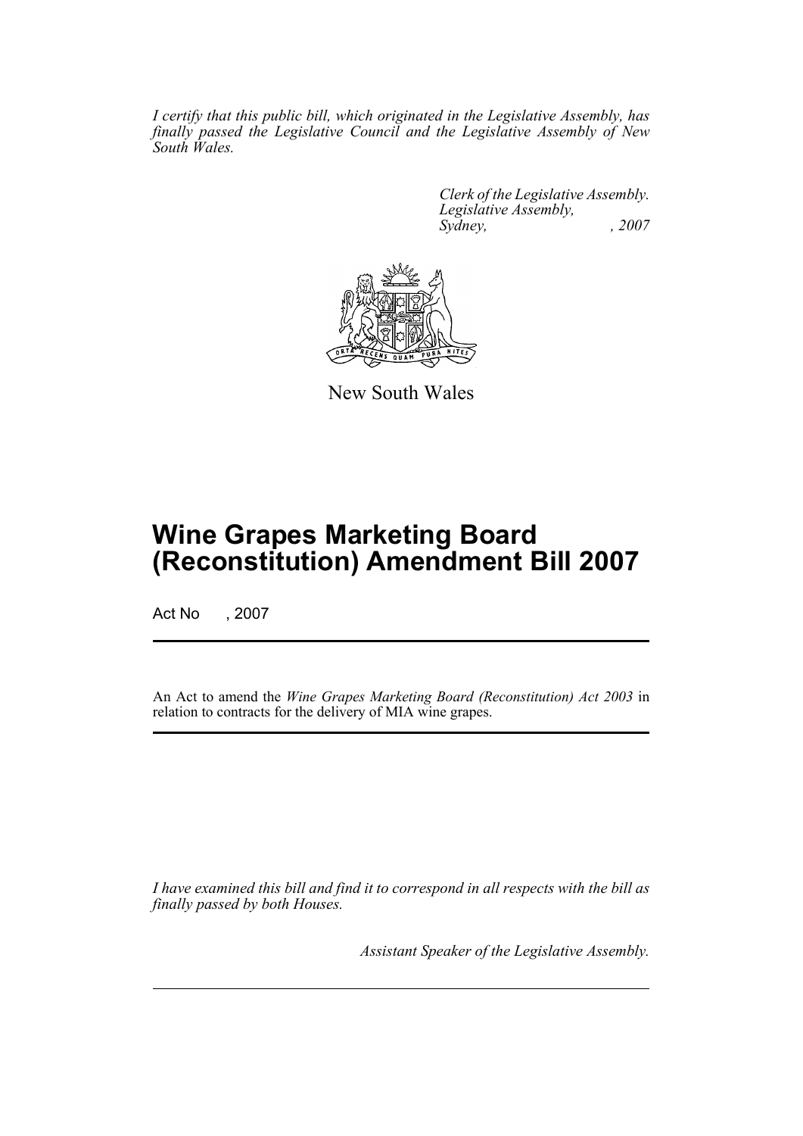*I certify that this public bill, which originated in the Legislative Assembly, has finally passed the Legislative Council and the Legislative Assembly of New South Wales.*

> *Clerk of the Legislative Assembly. Legislative Assembly, Sydney, , 2007*



New South Wales

## **Wine Grapes Marketing Board (Reconstitution) Amendment Bill 2007**

Act No , 2007

An Act to amend the *Wine Grapes Marketing Board (Reconstitution) Act 2003* in relation to contracts for the delivery of MIA wine grapes.

*I have examined this bill and find it to correspond in all respects with the bill as finally passed by both Houses.*

*Assistant Speaker of the Legislative Assembly.*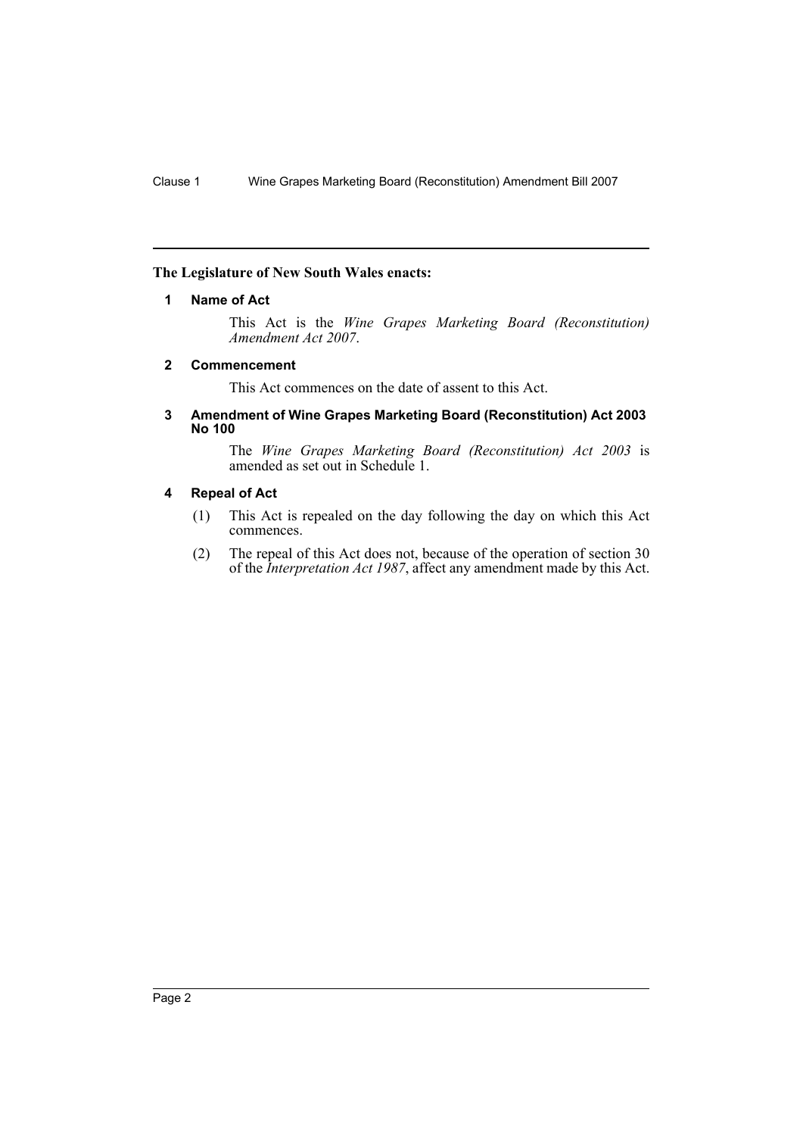### <span id="page-2-0"></span>**The Legislature of New South Wales enacts:**

### **1 Name of Act**

This Act is the *Wine Grapes Marketing Board (Reconstitution) Amendment Act 2007*.

#### <span id="page-2-1"></span>**2 Commencement**

This Act commences on the date of assent to this Act.

#### <span id="page-2-2"></span>**3 Amendment of Wine Grapes Marketing Board (Reconstitution) Act 2003 No 100**

The *Wine Grapes Marketing Board (Reconstitution) Act 2003* is amended as set out in Schedule 1.

#### <span id="page-2-3"></span>**4 Repeal of Act**

- (1) This Act is repealed on the day following the day on which this Act commences.
- (2) The repeal of this Act does not, because of the operation of section 30 of the *Interpretation Act 1987*, affect any amendment made by this Act.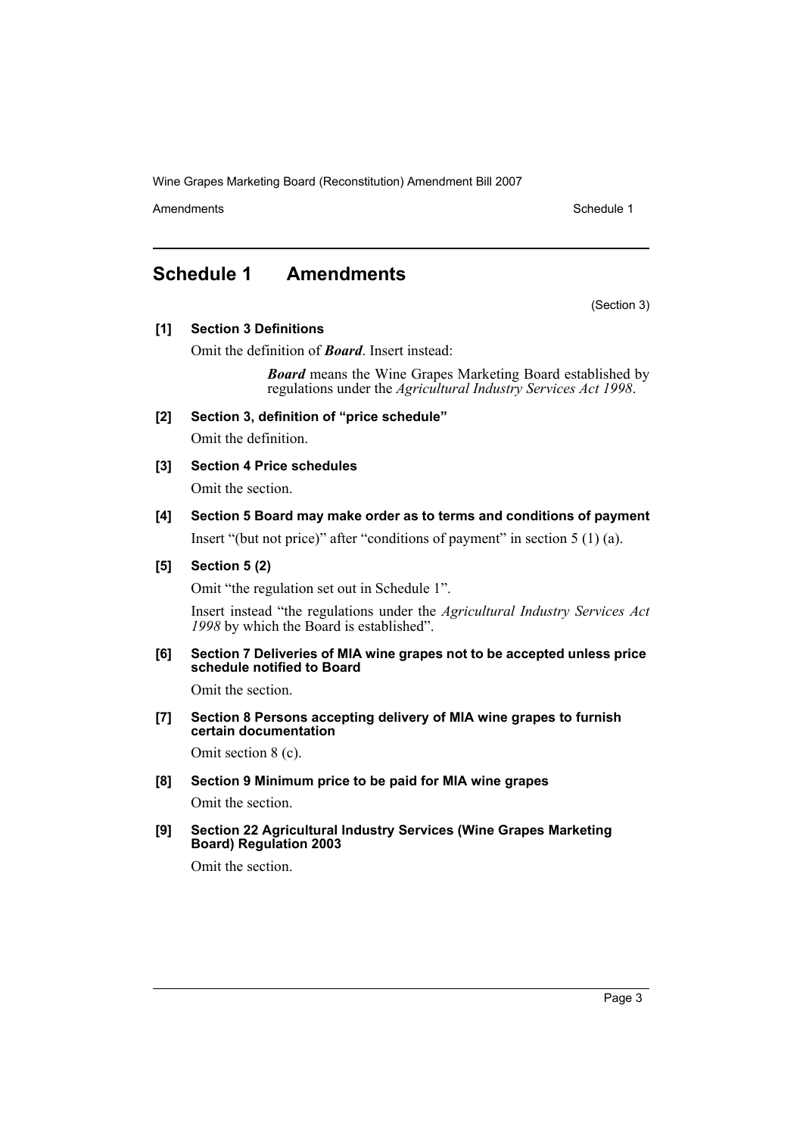Wine Grapes Marketing Board (Reconstitution) Amendment Bill 2007

Amendments **Schedule 1** and the set of the set of the set of the set of the set of the set of the set of the set of the set of the set of the set of the set of the set of the set of the set of the set of the set of the set

(Section 3)

## <span id="page-3-0"></span>**Schedule 1 Amendments**

**[1] Section 3 Definitions**

Omit the definition of *Board*. Insert instead:

*Board* means the Wine Grapes Marketing Board established by regulations under the *Agricultural Industry Services Act 1998*.

**[2] Section 3, definition of "price schedule"**

Omit the definition.

**[3] Section 4 Price schedules**

Omit the section.

**[4] Section 5 Board may make order as to terms and conditions of payment**

Insert "(but not price)" after "conditions of payment" in section 5 (1) (a).

## **[5] Section 5 (2)**

Omit "the regulation set out in Schedule 1".

Insert instead "the regulations under the *Agricultural Industry Services Act 1998* by which the Board is established".

**[6] Section 7 Deliveries of MIA wine grapes not to be accepted unless price schedule notified to Board**

Omit the section.

**[7] Section 8 Persons accepting delivery of MIA wine grapes to furnish certain documentation**

Omit section 8 (c).

**[8] Section 9 Minimum price to be paid for MIA wine grapes**

Omit the section.

**[9] Section 22 Agricultural Industry Services (Wine Grapes Marketing Board) Regulation 2003**

Omit the section.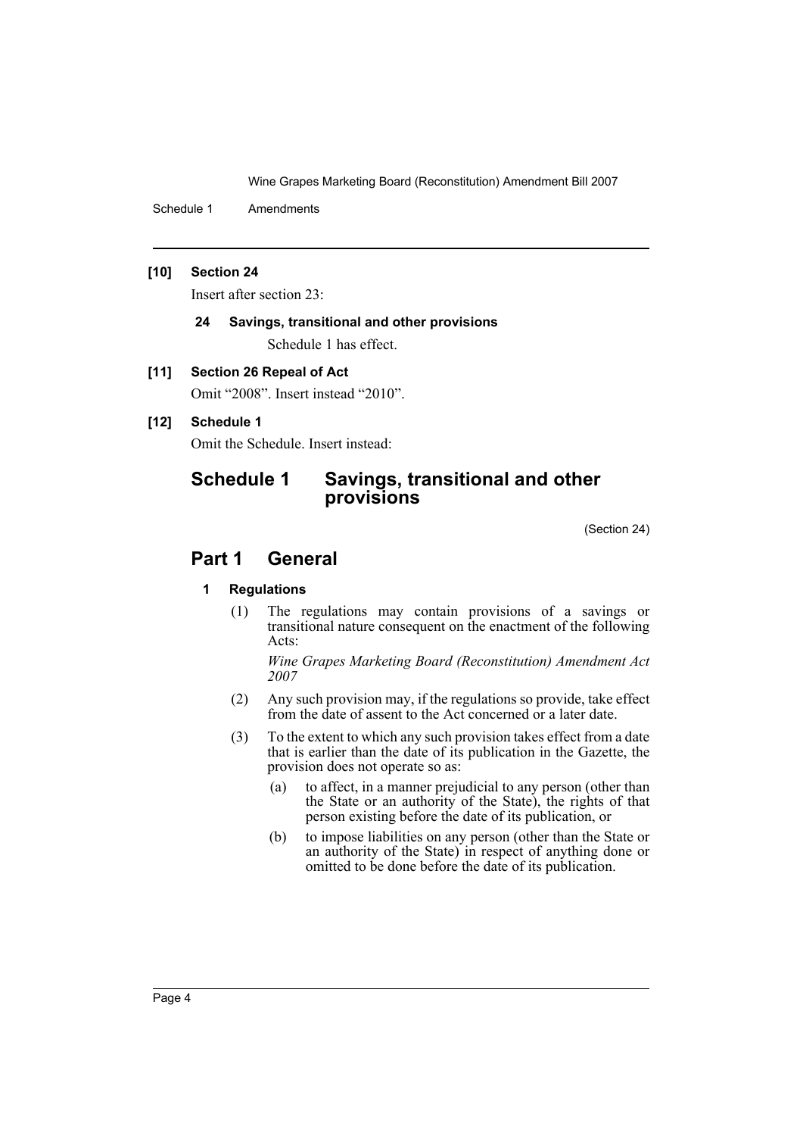Wine Grapes Marketing Board (Reconstitution) Amendment Bill 2007

Schedule 1 Amendments

### **[10] Section 24**

Insert after section 23:

## **24 Savings, transitional and other provisions**

Schedule 1 has effect.

## **[11] Section 26 Repeal of Act**

Omit "2008". Insert instead "2010".

## **[12] Schedule 1**

Omit the Schedule. Insert instead:

## **Schedule 1 Savings, transitional and other provisions**

(Section 24)

## **Part 1 General**

## **1 Regulations**

(1) The regulations may contain provisions of a savings or transitional nature consequent on the enactment of the following Acts:

*Wine Grapes Marketing Board (Reconstitution) Amendment Act 2007*

- (2) Any such provision may, if the regulations so provide, take effect from the date of assent to the Act concerned or a later date.
- (3) To the extent to which any such provision takes effect from a date that is earlier than the date of its publication in the Gazette, the provision does not operate so as:
	- (a) to affect, in a manner prejudicial to any person (other than the State or an authority of the State), the rights of that person existing before the date of its publication, or
	- (b) to impose liabilities on any person (other than the State or an authority of the State) in respect of anything done or omitted to be done before the date of its publication.